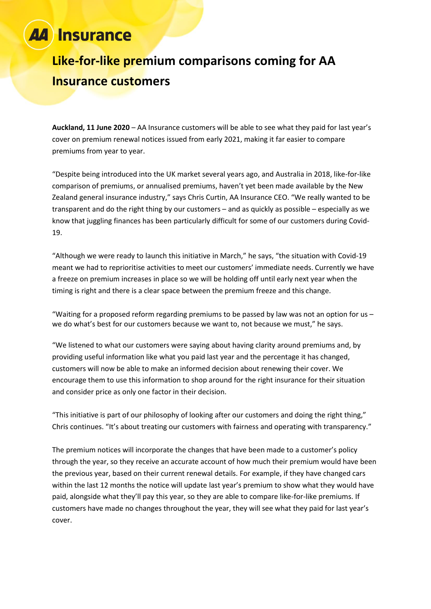### **Insurance**

## **Like-for-like premium comparisons coming for AA Insurance customers**

**Auckland, 11 June 2020** – AA Insurance customers will be able to see what they paid for last year's cover on premium renewal notices issued from early 2021, making it far easier to compare premiums from year to year.

"Despite being introduced into the UK market several years ago, and Australia in 2018, like-for-like comparison of premiums, or annualised premiums, haven't yet been made available by the New Zealand general insurance industry," says Chris Curtin, AA Insurance CEO. "We really wanted to be transparent and do the right thing by our customers – and as quickly as possible – especially as we know that juggling finances has been particularly difficult for some of our customers during Covid-19.

"Although we were ready to launch this initiative in March," he says, "the situation with Covid-19 meant we had to reprioritise activities to meet our customers' immediate needs. Currently we have a freeze on premium increases in place so we will be holding off until early next year when the timing is right and there is a clear space between the premium freeze and this change.

"Waiting for a proposed reform regarding premiums to be passed by law was not an option for us  $$ we do what's best for our customers because we want to, not because we must," he says.

"We listened to what our customers were saying about having clarity around premiums and, by providing useful information like what you paid last year and the percentage it has changed, customers will now be able to make an informed decision about renewing their cover. We encourage them to use this information to shop around for the right insurance for their situation and consider price as only one factor in their decision.

"This initiative is part of our philosophy of looking after our customers and doing the right thing," Chris continues. "It's about treating our customers with fairness and operating with transparency."

The premium notices will incorporate the changes that have been made to a customer's policy through the year, so they receive an accurate account of how much their premium would have been the previous year, based on their current renewal details. For example, if they have changed cars within the last 12 months the notice will update last year's premium to show what they would have paid, alongside what they'll pay this year, so they are able to compare like-for-like premiums. If customers have made no changes throughout the year, they will see what they paid for last year's cover.